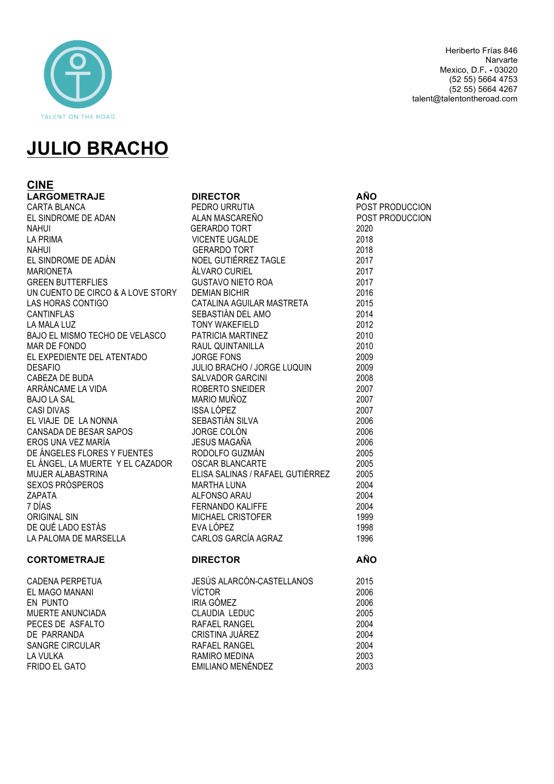

Heriberto Frías 846 Narvarte Mexico, D.F**. -** 03020 (52 55) 5664 4753 (52 55) 5664 4267 talent@talentontheroad.com

# **JULIO BRACHO**

**CINE LARGOMETRAJE DIRECTOR AÑO** CARTA BLANCA PEDRO URRUTIA POST PRODUCCION EL SINDROME DE ADÁN **MARIONETA GREEN BUTTERFLIES** UN CUENTO DE CIRCO & A LOVE STORY LAS HORAS CONTIGO **CANTINFLAS** LA MALA LUZ BAJO EL MISMO TECHO DE VELASCO MAR DE FONDO EL EXPEDIENTE DEL ATENTADO CABEZA DE BUDA ARRÁNCAME LA VIDA BAJO LA SAL **CASI DIVAS** EL VIAJE DE LA NONNA CANSADA DE BESAR SAPOS EROS UNA VEZ MARÍA DE ÁNGELES FLORES Y FUENTES EL ÁNGEL, LA MUERTE Y EL CAZADOR MUJER ALABASTRINA SEXOS PRÓSPEROS<br>ZAPATA ORIGINAL SIN DE QUÉ LADO ESTÁS LA PALOMA DE MARSELLA

## **CORTOMETRAJE DIRECTOR AÑO**

CADENA PERPETUA EL MAGO MANANI EN PUNTO MUERTE ANUNCIADA PECES DE ASFALTO DE PARRANDA SANGRE CIRCULAR LA VULKA RAMIRO MEDINA 2003 **FRIDO EL GATO EMILIANO MENÉNDEZ** 2003

|              |                                                                                                                                                                                                                                                 | POST PRODUCCION |
|--------------|-------------------------------------------------------------------------------------------------------------------------------------------------------------------------------------------------------------------------------------------------|-----------------|
|              |                                                                                                                                                                                                                                                 |                 |
|              |                                                                                                                                                                                                                                                 |                 |
|              |                                                                                                                                                                                                                                                 |                 |
|              |                                                                                                                                                                                                                                                 |                 |
|              |                                                                                                                                                                                                                                                 |                 |
|              |                                                                                                                                                                                                                                                 |                 |
|              |                                                                                                                                                                                                                                                 |                 |
|              |                                                                                                                                                                                                                                                 |                 |
|              |                                                                                                                                                                                                                                                 |                 |
|              |                                                                                                                                                                                                                                                 |                 |
|              |                                                                                                                                                                                                                                                 |                 |
|              |                                                                                                                                                                                                                                                 |                 |
|              |                                                                                                                                                                                                                                                 |                 |
|              |                                                                                                                                                                                                                                                 |                 |
|              |                                                                                                                                                                                                                                                 |                 |
|              |                                                                                                                                                                                                                                                 |                 |
|              |                                                                                                                                                                                                                                                 |                 |
|              |                                                                                                                                                                                                                                                 |                 |
|              |                                                                                                                                                                                                                                                 |                 |
|              |                                                                                                                                                                                                                                                 |                 |
|              |                                                                                                                                                                                                                                                 |                 |
|              |                                                                                                                                                                                                                                                 |                 |
|              |                                                                                                                                                                                                                                                 |                 |
|              |                                                                                                                                                                                                                                                 |                 |
|              |                                                                                                                                                                                                                                                 |                 |
|              |                                                                                                                                                                                                                                                 |                 |
|              |                                                                                                                                                                                                                                                 |                 |
|              |                                                                                                                                                                                                                                                 |                 |
|              |                                                                                                                                                                                                                                                 |                 |
|              | EL SINDROME DE ADAM MASCAREÑO TORT<br>NA MUSICARE DE VICENTE UGALDE<br>NA MUSICARE 2021<br>NA MUSICARE 2021<br>NA MUSICARE 2021<br>MA MOEL GUITERREZ TAGLE<br>EL SINDROME DE ADÁN MOEL GUITERREZ TAGLE<br>EL SINDROME DE ADÁN MUSICARE 2017<br> |                 |
| CORTOMETRAJE | <b>DIRECTOR</b>                                                                                                                                                                                                                                 | <b>AÑO</b>      |
|              | CADENA PERPETUA<br>CADENA PERPETUA<br>EL MAGO MANANI VÍCTOR<br>EN PUNTO IRIA GÓMEZ 2006<br>MUERTE ANUNCIADA CLAUDIA LEDUC 2005<br>PECES DE ASFALTO RAFAEL RANGEL 2004<br>DE PARRANDA CRISTINA JUÁREZ 2004<br>SANGRE CIRCULAR RAFAEL RANGEL 2    |                 |
|              |                                                                                                                                                                                                                                                 |                 |
|              |                                                                                                                                                                                                                                                 |                 |
|              |                                                                                                                                                                                                                                                 |                 |
|              |                                                                                                                                                                                                                                                 |                 |
|              |                                                                                                                                                                                                                                                 |                 |
|              |                                                                                                                                                                                                                                                 |                 |
|              |                                                                                                                                                                                                                                                 |                 |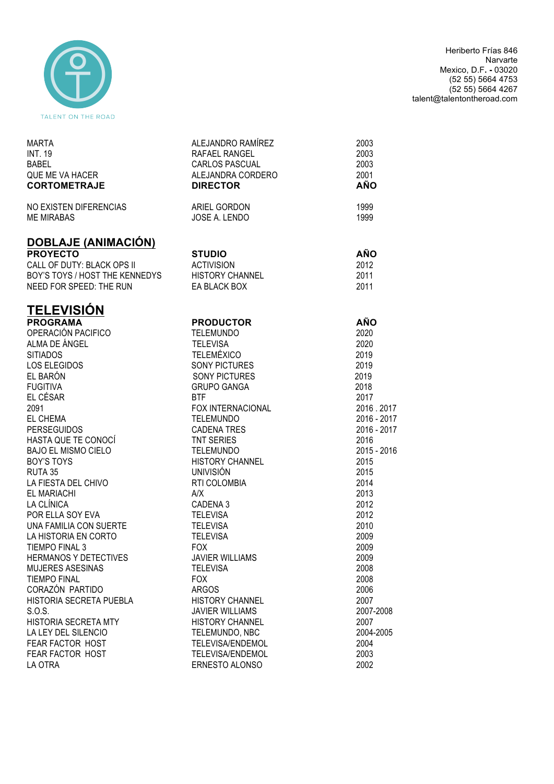

Heriberto Frías 846 Narvarte Mexico, D.F**. -** 03020 (52 55) 5664 4753 (52 55) 5664 4267 talent@talentontheroad.com

| <b>MARTA</b><br><b>INT. 19</b><br><b>BABEL</b><br>QUE ME VA HACER<br><b>CORTOMETRAJE</b> | ALEJANDRO RAMÍREZ<br>RAFAEL RANGEL<br>CARLOS PASCUAL<br>ALEJANDRA CORDERO<br><b>DIRECTOR</b> | 2003<br>2003<br>2003<br>2001<br><b>AÑO</b> |
|------------------------------------------------------------------------------------------|----------------------------------------------------------------------------------------------|--------------------------------------------|
| NO EXISTEN DIFERENCIAS<br><b>ME MIRABAS</b>                                              | ARIEL GORDON<br>JOSE A. LENDO                                                                | 1999<br>1999                               |
| <b>DOBLAJE (ANIMACIÓN)</b>                                                               |                                                                                              |                                            |
| <b>PROYECTO</b><br>CALL OF DUTY: BLACK OPS II                                            | <b>STUDIO</b><br><b>ACTIVISION</b>                                                           | <b>AÑO</b>                                 |
| BOY'S TOYS / HOST THE KENNEDYS                                                           | <b>HISTORY CHANNEL</b>                                                                       | 2012<br>2011                               |
| NEED FOR SPEED: THE RUN                                                                  | EA BLACK BOX                                                                                 | 2011                                       |
| <b>TELEVISIÓN</b>                                                                        |                                                                                              |                                            |
| <b>PROGRAMA</b>                                                                          | <b>PRODUCTOR</b>                                                                             | <b>AÑO</b>                                 |
| OPERACIÓN PACIFICO                                                                       | <b>TELEMUNDO</b>                                                                             | 2020                                       |
| ALMA DE ÁNGEL                                                                            | <b>TELEVISA</b>                                                                              | 2020                                       |
| <b>SITIADOS</b>                                                                          | <b>TELEMÉXICO</b>                                                                            | 2019                                       |
| LOS ELEGIDOS                                                                             | SONY PICTURES                                                                                | 2019                                       |
| EL BARÓN                                                                                 | SONY PICTURES                                                                                | 2019                                       |
| <b>FUGITIVA</b>                                                                          | <b>GRUPO GANGA</b>                                                                           | 2018                                       |
| EL CÉSAR                                                                                 | <b>BTF</b>                                                                                   | 2017                                       |
| 2091                                                                                     | FOX INTERNACIONAL                                                                            | 2016.2017                                  |
| EL CHEMA<br><b>PERSEGUIDOS</b>                                                           | <b>TELEMUNDO</b><br><b>CADENA TRES</b>                                                       | 2016 - 2017<br>2016 - 2017                 |
| HASTA QUE TE CONOCÍ                                                                      | TNT SERIES                                                                                   | 2016                                       |
| <b>BAJO EL MISMO CIELO</b>                                                               | TELEMUNDO                                                                                    | 2015 - 2016                                |
| <b>BOY'S TOYS</b>                                                                        | <b>HISTORY CHANNEL</b>                                                                       | 2015                                       |
| RUTA 35                                                                                  | <b>UNIVISIÓN</b>                                                                             | 2015                                       |
| LA FIESTA DEL CHIVO                                                                      | RTI COLOMBIA                                                                                 | 2014                                       |
| EL MARIACHI                                                                              | A/X                                                                                          | 2013                                       |
| LA CLÍNICA                                                                               | CADENA 3                                                                                     | 2012                                       |
| POR ELLA SOY EVA                                                                         | <b>TELEVISA</b>                                                                              | 2012                                       |
| UNA FAMILIA CON SUERTE                                                                   | <b>TELEVISA</b>                                                                              | 2010                                       |
| LA HISTORIA EN CORTO                                                                     | <b>TELEVISA</b>                                                                              | 2009                                       |
| TIEMPO FINAL 3                                                                           | <b>FOX</b>                                                                                   | 2009                                       |
| <b>HERMANOS Y DETECTIVES</b>                                                             | <b>JAVIER WILLIAMS</b>                                                                       | 2009                                       |
| <b>MUJERES ASESINAS</b>                                                                  | <b>TELEVISA</b>                                                                              | 2008                                       |
| <b>TIEMPO FINAL</b>                                                                      | <b>FOX</b>                                                                                   | 2008                                       |
| CORAZÓN PARTIDO                                                                          | <b>ARGOS</b>                                                                                 | 2006                                       |
| HISTORIA SECRETA PUEBLA                                                                  | <b>HISTORY CHANNEL</b>                                                                       | 2007                                       |
| S.O.S.                                                                                   | <b>JAVIER WILLIAMS</b>                                                                       | 2007-2008                                  |
| HISTORIA SECRETA MTY                                                                     | <b>HISTORY CHANNEL</b>                                                                       | 2007                                       |
| LA LEY DEL SILENCIO                                                                      | TELEMUNDO, NBC                                                                               | 2004-2005                                  |
| FEAR FACTOR HOST                                                                         | <b>TELEVISA/ENDEMOL</b>                                                                      | 2004                                       |
| FEAR FACTOR HOST                                                                         | <b>TELEVISA/ENDEMOL</b>                                                                      | 2003                                       |
| LA OTRA                                                                                  | ERNESTO ALONSO                                                                               | 2002                                       |